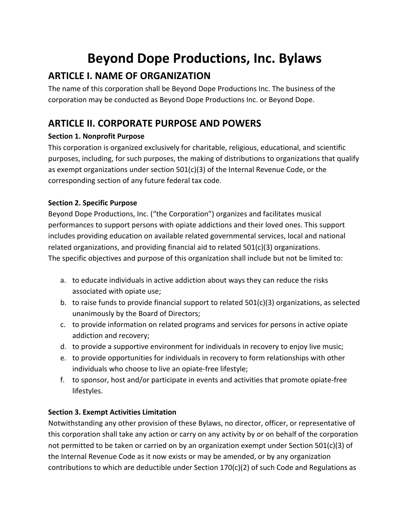# Beyond Dope Productions, Inc. Bylaws

# ARTICLE I. NAME OF ORGANIZATION

The name of this corporation shall be Beyond Dope Productions Inc. The business of the corporation may be conducted as Beyond Dope Productions Inc. or Beyond Dope.

# ARTICLE II. CORPORATE PURPOSE AND POWERS

# Section 1. Nonprofit Purpose

This corporation is organized exclusively for charitable, religious, educational, and scientific purposes, including, for such purposes, the making of distributions to organizations that qualify as exempt organizations under section 501(c)(3) of the Internal Revenue Code, or the corresponding section of any future federal tax code.

# Section 2. Specific Purpose

Beyond Dope Productions, Inc. ("the Corporation") organizes and facilitates musical performances to support persons with opiate addictions and their loved ones. This support includes providing education on available related governmental services, local and national related organizations, and providing financial aid to related 501(c)(3) organizations. The specific objectives and purpose of this organization shall include but not be limited to:

- a. to educate individuals in active addiction about ways they can reduce the risks associated with opiate use;
- b. to raise funds to provide financial support to related  $501(c)(3)$  organizations, as selected unanimously by the Board of Directors;
- c. to provide information on related programs and services for persons in active opiate addiction and recovery;
- d. to provide a supportive environment for individuals in recovery to enjoy live music;
- e. to provide opportunities for individuals in recovery to form relationships with other individuals who choose to live an opiate-free lifestyle;
- f. to sponsor, host and/or participate in events and activities that promote opiate-free lifestyles.

# Section 3. Exempt Activities Limitation

Notwithstanding any other provision of these Bylaws, no director, officer, or representative of this corporation shall take any action or carry on any activity by or on behalf of the corporation not permitted to be taken or carried on by an organization exempt under Section 501(c)(3) of the Internal Revenue Code as it now exists or may be amended, or by any organization contributions to which are deductible under Section 170(c)(2) of such Code and Regulations as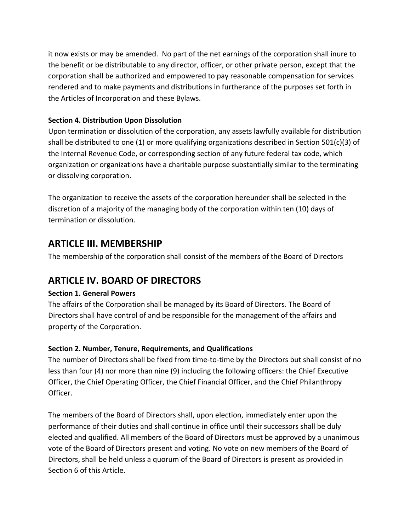it now exists or may be amended. No part of the net earnings of the corporation shall inure to the benefit or be distributable to any director, officer, or other private person, except that the corporation shall be authorized and empowered to pay reasonable compensation for services rendered and to make payments and distributions in furtherance of the purposes set forth in the Articles of Incorporation and these Bylaws.

# Section 4. Distribution Upon Dissolution

Upon termination or dissolution of the corporation, any assets lawfully available for distribution shall be distributed to one (1) or more qualifying organizations described in Section 501(c)(3) of the Internal Revenue Code, or corresponding section of any future federal tax code, which organization or organizations have a charitable purpose substantially similar to the terminating or dissolving corporation.

The organization to receive the assets of the corporation hereunder shall be selected in the discretion of a majority of the managing body of the corporation within ten (10) days of termination or dissolution.

# ARTICLE III. MEMBERSHIP

The membership of the corporation shall consist of the members of the Board of Directors

# ARTICLE IV. BOARD OF DIRECTORS

# Section 1. General Powers

The affairs of the Corporation shall be managed by its Board of Directors. The Board of Directors shall have control of and be responsible for the management of the affairs and property of the Corporation.

# Section 2. Number, Tenure, Requirements, and Qualifications

The number of Directors shall be fixed from time-to-time by the Directors but shall consist of no less than four (4) nor more than nine (9) including the following officers: the Chief Executive Officer, the Chief Operating Officer, the Chief Financial Officer, and the Chief Philanthropy Officer.

The members of the Board of Directors shall, upon election, immediately enter upon the performance of their duties and shall continue in office until their successors shall be duly elected and qualified. All members of the Board of Directors must be approved by a unanimous vote of the Board of Directors present and voting. No vote on new members of the Board of Directors, shall be held unless a quorum of the Board of Directors is present as provided in Section 6 of this Article.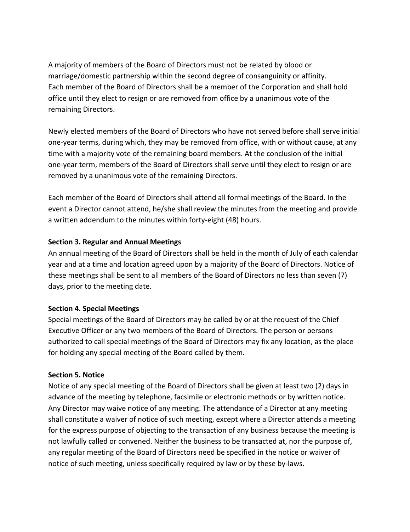A majority of members of the Board of Directors must not be related by blood or marriage/domestic partnership within the second degree of consanguinity or affinity. Each member of the Board of Directors shall be a member of the Corporation and shall hold office until they elect to resign or are removed from office by a unanimous vote of the remaining Directors.

Newly elected members of the Board of Directors who have not served before shall serve initial one-year terms, during which, they may be removed from office, with or without cause, at any time with a majority vote of the remaining board members. At the conclusion of the initial one-year term, members of the Board of Directors shall serve until they elect to resign or are removed by a unanimous vote of the remaining Directors.

Each member of the Board of Directors shall attend all formal meetings of the Board. In the event a Director cannot attend, he/she shall review the minutes from the meeting and provide a written addendum to the minutes within forty-eight (48) hours.

#### Section 3. Regular and Annual Meetings

An annual meeting of the Board of Directors shall be held in the month of July of each calendar year and at a time and location agreed upon by a majority of the Board of Directors. Notice of these meetings shall be sent to all members of the Board of Directors no less than seven (7) days, prior to the meeting date.

#### Section 4. Special Meetings

Special meetings of the Board of Directors may be called by or at the request of the Chief Executive Officer or any two members of the Board of Directors. The person or persons authorized to call special meetings of the Board of Directors may fix any location, as the place for holding any special meeting of the Board called by them.

#### Section 5. Notice

Notice of any special meeting of the Board of Directors shall be given at least two (2) days in advance of the meeting by telephone, facsimile or electronic methods or by written notice. Any Director may waive notice of any meeting. The attendance of a Director at any meeting shall constitute a waiver of notice of such meeting, except where a Director attends a meeting for the express purpose of objecting to the transaction of any business because the meeting is not lawfully called or convened. Neither the business to be transacted at, nor the purpose of, any regular meeting of the Board of Directors need be specified in the notice or waiver of notice of such meeting, unless specifically required by law or by these by-laws.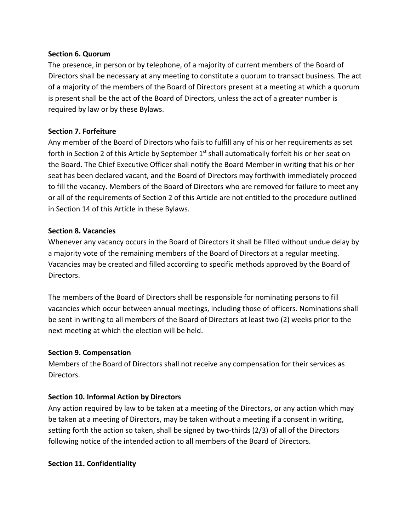#### Section 6. Quorum

The presence, in person or by telephone, of a majority of current members of the Board of Directors shall be necessary at any meeting to constitute a quorum to transact business. The act of a majority of the members of the Board of Directors present at a meeting at which a quorum is present shall be the act of the Board of Directors, unless the act of a greater number is required by law or by these Bylaws.

#### Section 7. Forfeiture

Any member of the Board of Directors who fails to fulfill any of his or her requirements as set forth in Section 2 of this Article by September 1<sup>st</sup> shall automatically forfeit his or her seat on the Board. The Chief Executive Officer shall notify the Board Member in writing that his or her seat has been declared vacant, and the Board of Directors may forthwith immediately proceed to fill the vacancy. Members of the Board of Directors who are removed for failure to meet any or all of the requirements of Section 2 of this Article are not entitled to the procedure outlined in Section 14 of this Article in these Bylaws.

#### Section 8. Vacancies

Whenever any vacancy occurs in the Board of Directors it shall be filled without undue delay by a majority vote of the remaining members of the Board of Directors at a regular meeting. Vacancies may be created and filled according to specific methods approved by the Board of Directors.

The members of the Board of Directors shall be responsible for nominating persons to fill vacancies which occur between annual meetings, including those of officers. Nominations shall be sent in writing to all members of the Board of Directors at least two (2) weeks prior to the next meeting at which the election will be held.

#### Section 9. Compensation

Members of the Board of Directors shall not receive any compensation for their services as Directors.

#### Section 10. Informal Action by Directors

Any action required by law to be taken at a meeting of the Directors, or any action which may be taken at a meeting of Directors, may be taken without a meeting if a consent in writing, setting forth the action so taken, shall be signed by two-thirds (2/3) of all of the Directors following notice of the intended action to all members of the Board of Directors.

# Section 11. Confidentiality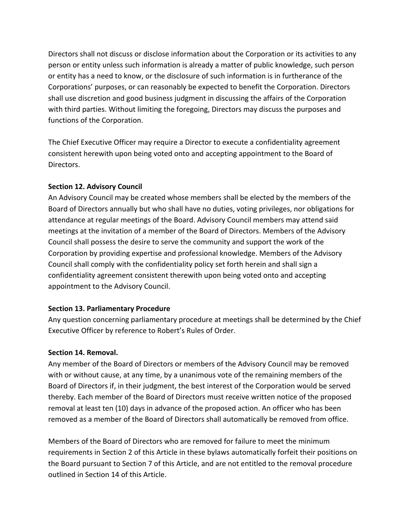Directors shall not discuss or disclose information about the Corporation or its activities to any person or entity unless such information is already a matter of public knowledge, such person or entity has a need to know, or the disclosure of such information is in furtherance of the Corporations' purposes, or can reasonably be expected to benefit the Corporation. Directors shall use discretion and good business judgment in discussing the affairs of the Corporation with third parties. Without limiting the foregoing, Directors may discuss the purposes and functions of the Corporation.

The Chief Executive Officer may require a Director to execute a confidentiality agreement consistent herewith upon being voted onto and accepting appointment to the Board of Directors.

# Section 12. Advisory Council

An Advisory Council may be created whose members shall be elected by the members of the Board of Directors annually but who shall have no duties, voting privileges, nor obligations for attendance at regular meetings of the Board. Advisory Council members may attend said meetings at the invitation of a member of the Board of Directors. Members of the Advisory Council shall possess the desire to serve the community and support the work of the Corporation by providing expertise and professional knowledge. Members of the Advisory Council shall comply with the confidentiality policy set forth herein and shall sign a confidentiality agreement consistent therewith upon being voted onto and accepting appointment to the Advisory Council.

# Section 13. Parliamentary Procedure

Any question concerning parliamentary procedure at meetings shall be determined by the Chief Executive Officer by reference to Robert's Rules of Order.

# Section 14. Removal.

Any member of the Board of Directors or members of the Advisory Council may be removed with or without cause, at any time, by a unanimous vote of the remaining members of the Board of Directors if, in their judgment, the best interest of the Corporation would be served thereby. Each member of the Board of Directors must receive written notice of the proposed removal at least ten (10) days in advance of the proposed action. An officer who has been removed as a member of the Board of Directors shall automatically be removed from office.

Members of the Board of Directors who are removed for failure to meet the minimum requirements in Section 2 of this Article in these bylaws automatically forfeit their positions on the Board pursuant to Section 7 of this Article, and are not entitled to the removal procedure outlined in Section 14 of this Article.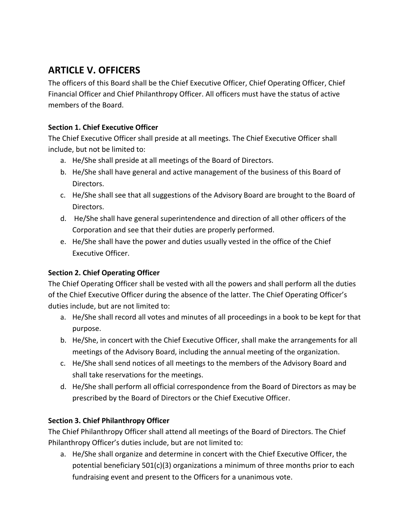# ARTICLE V. OFFICERS

The officers of this Board shall be the Chief Executive Officer, Chief Operating Officer, Chief Financial Officer and Chief Philanthropy Officer. All officers must have the status of active members of the Board.

# Section 1. Chief Executive Officer

The Chief Executive Officer shall preside at all meetings. The Chief Executive Officer shall include, but not be limited to:

- a. He/She shall preside at all meetings of the Board of Directors.
- b. He/She shall have general and active management of the business of this Board of Directors.
- c. He/She shall see that all suggestions of the Advisory Board are brought to the Board of Directors.
- d. He/She shall have general superintendence and direction of all other officers of the Corporation and see that their duties are properly performed.
- e. He/She shall have the power and duties usually vested in the office of the Chief Executive Officer.

# Section 2. Chief Operating Officer

The Chief Operating Officer shall be vested with all the powers and shall perform all the duties of the Chief Executive Officer during the absence of the latter. The Chief Operating Officer's duties include, but are not limited to:

- a. He/She shall record all votes and minutes of all proceedings in a book to be kept for that purpose.
- b. He/She, in concert with the Chief Executive Officer, shall make the arrangements for all meetings of the Advisory Board, including the annual meeting of the organization.
- c. He/She shall send notices of all meetings to the members of the Advisory Board and shall take reservations for the meetings.
- d. He/She shall perform all official correspondence from the Board of Directors as may be prescribed by the Board of Directors or the Chief Executive Officer.

# Section 3. Chief Philanthropy Officer

The Chief Philanthropy Officer shall attend all meetings of the Board of Directors. The Chief Philanthropy Officer's duties include, but are not limited to:

a. He/She shall organize and determine in concert with the Chief Executive Officer, the potential beneficiary 501(c)(3) organizations a minimum of three months prior to each fundraising event and present to the Officers for a unanimous vote.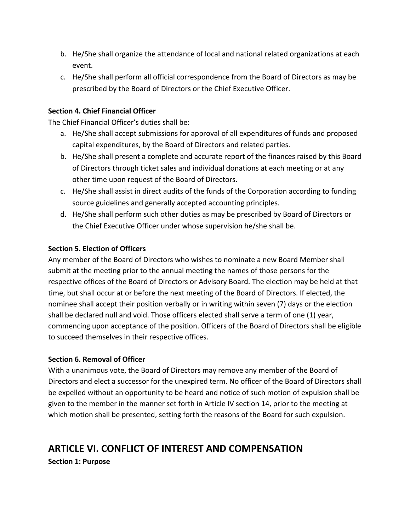- b. He/She shall organize the attendance of local and national related organizations at each event.
- c. He/She shall perform all official correspondence from the Board of Directors as may be prescribed by the Board of Directors or the Chief Executive Officer.

## Section 4. Chief Financial Officer

The Chief Financial Officer's duties shall be:

- a. He/She shall accept submissions for approval of all expenditures of funds and proposed capital expenditures, by the Board of Directors and related parties.
- b. He/She shall present a complete and accurate report of the finances raised by this Board of Directors through ticket sales and individual donations at each meeting or at any other time upon request of the Board of Directors.
- c. He/She shall assist in direct audits of the funds of the Corporation according to funding source guidelines and generally accepted accounting principles.
- d. He/She shall perform such other duties as may be prescribed by Board of Directors or the Chief Executive Officer under whose supervision he/she shall be.

#### Section 5. Election of Officers

Any member of the Board of Directors who wishes to nominate a new Board Member shall submit at the meeting prior to the annual meeting the names of those persons for the respective offices of the Board of Directors or Advisory Board. The election may be held at that time, but shall occur at or before the next meeting of the Board of Directors. If elected, the nominee shall accept their position verbally or in writing within seven (7) days or the election shall be declared null and void. Those officers elected shall serve a term of one (1) year, commencing upon acceptance of the position. Officers of the Board of Directors shall be eligible to succeed themselves in their respective offices.

#### Section 6. Removal of Officer

With a unanimous vote, the Board of Directors may remove any member of the Board of Directors and elect a successor for the unexpired term. No officer of the Board of Directors shall be expelled without an opportunity to be heard and notice of such motion of expulsion shall be given to the member in the manner set forth in Article IV section 14, prior to the meeting at which motion shall be presented, setting forth the reasons of the Board for such expulsion.

# ARTICLE VI. CONFLICT OF INTEREST AND COMPENSATION

Section 1: Purpose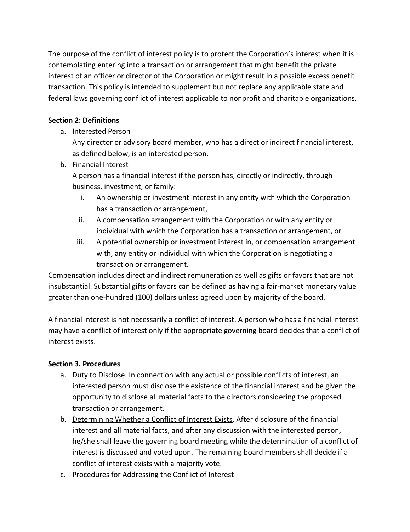The purpose of the conflict of interest policy is to protect the Corporation's interest when it is contemplating entering into a transaction or arrangement that might benefit the private interest of an officer or director of the Corporation or might result in a possible excess benefit transaction. This policy is intended to supplement but not replace any applicable state and federal laws governing conflict of interest applicable to nonprofit and charitable organizations.

# Section 2: Definitions

# a. Interested Person

Any director or advisory board member, who has a direct or indirect financial interest, as defined below, is an interested person.

b. Financial Interest

A person has a financial interest if the person has, directly or indirectly, through business, investment, or family:

- i. An ownership or investment interest in any entity with which the Corporation has a transaction or arrangement,
- ii. A compensation arrangement with the Corporation or with any entity or individual with which the Corporation has a transaction or arrangement, or
- iii. A potential ownership or investment interest in, or compensation arrangement with, any entity or individual with which the Corporation is negotiating a transaction or arrangement.

Compensation includes direct and indirect remuneration as well as gifts or favors that are not insubstantial. Substantial gifts or favors can be defined as having a fair-market monetary value greater than one-hundred (100) dollars unless agreed upon by majority of the board.

A financial interest is not necessarily a conflict of interest. A person who has a financial interest may have a conflict of interest only if the appropriate governing board decides that a conflict of interest exists.

# Section 3. Procedures

- a. Duty to Disclose. In connection with any actual or possible conflicts of interest, an interested person must disclose the existence of the financial interest and be given the opportunity to disclose all material facts to the directors considering the proposed transaction or arrangement.
- b. Determining Whether a Conflict of Interest Exists. After disclosure of the financial interest and all material facts, and after any discussion with the interested person, he/she shall leave the governing board meeting while the determination of a conflict of interest is discussed and voted upon. The remaining board members shall decide if a conflict of interest exists with a majority vote.
- c. Procedures for Addressing the Conflict of Interest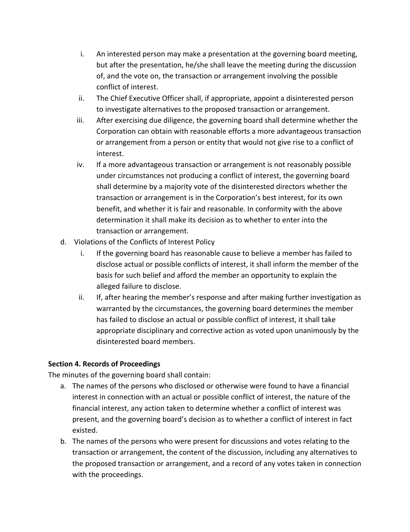- i. An interested person may make a presentation at the governing board meeting, but after the presentation, he/she shall leave the meeting during the discussion of, and the vote on, the transaction or arrangement involving the possible conflict of interest.
- ii. The Chief Executive Officer shall, if appropriate, appoint a disinterested person to investigate alternatives to the proposed transaction or arrangement.
- iii. After exercising due diligence, the governing board shall determine whether the Corporation can obtain with reasonable efforts a more advantageous transaction or arrangement from a person or entity that would not give rise to a conflict of interest.
- iv. If a more advantageous transaction or arrangement is not reasonably possible under circumstances not producing a conflict of interest, the governing board shall determine by a majority vote of the disinterested directors whether the transaction or arrangement is in the Corporation's best interest, for its own benefit, and whether it is fair and reasonable. In conformity with the above determination it shall make its decision as to whether to enter into the transaction or arrangement.
- d. Violations of the Conflicts of Interest Policy
	- i. If the governing board has reasonable cause to believe a member has failed to disclose actual or possible conflicts of interest, it shall inform the member of the basis for such belief and afford the member an opportunity to explain the alleged failure to disclose.
	- ii. If, after hearing the member's response and after making further investigation as warranted by the circumstances, the governing board determines the member has failed to disclose an actual or possible conflict of interest, it shall take appropriate disciplinary and corrective action as voted upon unanimously by the disinterested board members.

# Section 4. Records of Proceedings

The minutes of the governing board shall contain:

- a. The names of the persons who disclosed or otherwise were found to have a financial interest in connection with an actual or possible conflict of interest, the nature of the financial interest, any action taken to determine whether a conflict of interest was present, and the governing board's decision as to whether a conflict of interest in fact existed.
- b. The names of the persons who were present for discussions and votes relating to the transaction or arrangement, the content of the discussion, including any alternatives to the proposed transaction or arrangement, and a record of any votes taken in connection with the proceedings.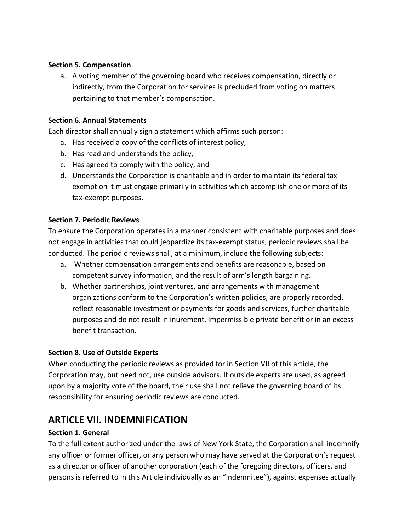#### Section 5. Compensation

a. A voting member of the governing board who receives compensation, directly or indirectly, from the Corporation for services is precluded from voting on matters pertaining to that member's compensation.

## Section 6. Annual Statements

Each director shall annually sign a statement which affirms such person:

- a. Has received a copy of the conflicts of interest policy,
- b. Has read and understands the policy,
- c. Has agreed to comply with the policy, and
- d. Understands the Corporation is charitable and in order to maintain its federal tax exemption it must engage primarily in activities which accomplish one or more of its tax-exempt purposes.

# Section 7. Periodic Reviews

To ensure the Corporation operates in a manner consistent with charitable purposes and does not engage in activities that could jeopardize its tax-exempt status, periodic reviews shall be conducted. The periodic reviews shall, at a minimum, include the following subjects:

- a. Whether compensation arrangements and benefits are reasonable, based on competent survey information, and the result of arm's length bargaining.
- b. Whether partnerships, joint ventures, and arrangements with management organizations conform to the Corporation's written policies, are properly recorded, reflect reasonable investment or payments for goods and services, further charitable purposes and do not result in inurement, impermissible private benefit or in an excess benefit transaction.

# Section 8. Use of Outside Experts

When conducting the periodic reviews as provided for in Section VII of this article, the Corporation may, but need not, use outside advisors. If outside experts are used, as agreed upon by a majority vote of the board, their use shall not relieve the governing board of its responsibility for ensuring periodic reviews are conducted.

# ARTICLE VII. INDEMNIFICATION

#### Section 1. General

To the full extent authorized under the laws of New York State, the Corporation shall indemnify any officer or former officer, or any person who may have served at the Corporation's request as a director or officer of another corporation (each of the foregoing directors, officers, and persons is referred to in this Article individually as an "indemnitee"), against expenses actually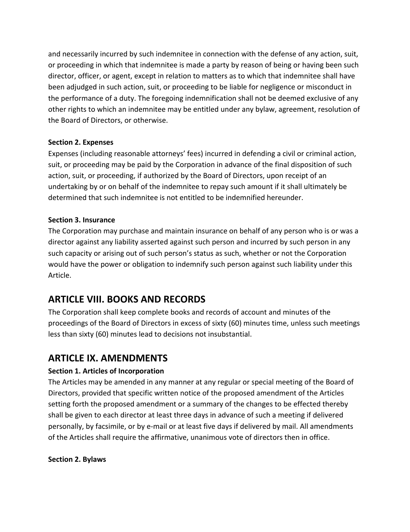and necessarily incurred by such indemnitee in connection with the defense of any action, suit, or proceeding in which that indemnitee is made a party by reason of being or having been such director, officer, or agent, except in relation to matters as to which that indemnitee shall have been adjudged in such action, suit, or proceeding to be liable for negligence or misconduct in the performance of a duty. The foregoing indemnification shall not be deemed exclusive of any other rights to which an indemnitee may be entitled under any bylaw, agreement, resolution of the Board of Directors, or otherwise.

# Section 2. Expenses

Expenses (including reasonable attorneys' fees) incurred in defending a civil or criminal action, suit, or proceeding may be paid by the Corporation in advance of the final disposition of such action, suit, or proceeding, if authorized by the Board of Directors, upon receipt of an undertaking by or on behalf of the indemnitee to repay such amount if it shall ultimately be determined that such indemnitee is not entitled to be indemnified hereunder.

#### Section 3. Insurance

The Corporation may purchase and maintain insurance on behalf of any person who is or was a director against any liability asserted against such person and incurred by such person in any such capacity or arising out of such person's status as such, whether or not the Corporation would have the power or obligation to indemnify such person against such liability under this Article.

# ARTICLE VIII. BOOKS AND RECORDS

The Corporation shall keep complete books and records of account and minutes of the proceedings of the Board of Directors in excess of sixty (60) minutes time, unless such meetings less than sixty (60) minutes lead to decisions not insubstantial.

# ARTICLE IX. AMENDMENTS

# Section 1. Articles of Incorporation

The Articles may be amended in any manner at any regular or special meeting of the Board of Directors, provided that specific written notice of the proposed amendment of the Articles setting forth the proposed amendment or a summary of the changes to be effected thereby shall be given to each director at least three days in advance of such a meeting if delivered personally, by facsimile, or by e-mail or at least five days if delivered by mail. All amendments of the Articles shall require the affirmative, unanimous vote of directors then in office.

#### Section 2. Bylaws